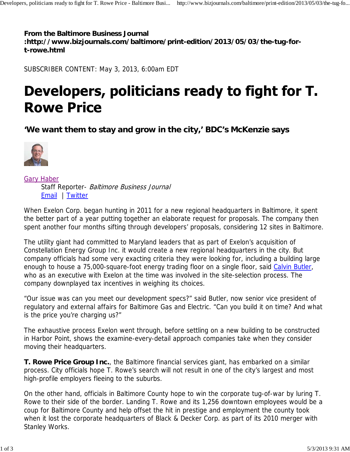**From the Baltimore Business Journal :http://www.bizjournals.com/baltimore/print-edition/2013/05/03/the-tug-fort-rowe.html**

SUBSCRIBER CONTENT: May 3, 2013, 6:00am EDT

## Developers, politicians ready to fight for T. **Rowe Price**

**'We want them to stay and grow in the city,' BDC's McKenzie says**



Gary Haber Staff Reporter- Baltimore Business Journal Email | Twitter

When Exelon Corp. began hunting in 2011 for a new regional headquarters in Baltimore, it spent the better part of a year putting together an elaborate request for proposals. The company then spent another four months sifting through developers' proposals, considering 12 sites in Baltimore.

The utility giant had committed to Maryland leaders that as part of Exelon's acquisition of Constellation Energy Group Inc. it would create a new regional headquarters in the city. But company officials had some very exacting criteria they were looking for, including a building large enough to house a 75,000-square-foot energy trading floor on a single floor, said Calvin Butler, who as an executive with Exelon at the time was involved in the site-selection process. The company downplayed tax incentives in weighing its choices.

"Our issue was can you meet our development specs?" said Butler, now senior vice president of regulatory and external affairs for Baltimore Gas and Electric. "Can you build it on time? And what is the price you're charging us?"

The exhaustive process Exelon went through, before settling on a new building to be constructed in Harbor Point, shows the examine-every-detail approach companies take when they consider moving their headquarters.

**T. Rowe Price Group Inc.**, the Baltimore financial services giant, has embarked on a similar process. City officials hope T. Rowe's search will not result in one of the city's largest and most high-profile employers fleeing to the suburbs.

On the other hand, officials in Baltimore County hope to win the corporate tug-of-war by luring T. Rowe to their side of the border. Landing T. Rowe and its 1,256 downtown employees would be a coup for Baltimore County and help offset the hit in prestige and employment the county took when it lost the corporate headquarters of Black & Decker Corp. as part of its 2010 merger with Stanley Works.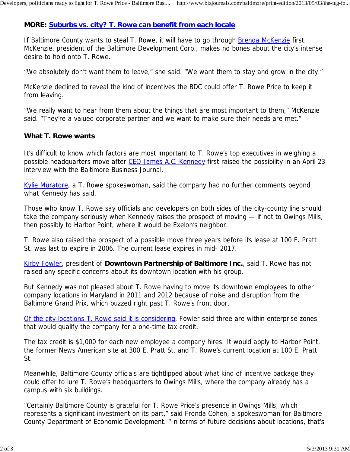## **MORE: Suburbs vs. city? T. Rowe can benefit from each locale**

If Baltimore County wants to steal T. Rowe, it will have to go through Brenda McKenzie first. McKenzie, president of the Baltimore Development Corp., makes no bones about the city's intense desire to hold onto T. Rowe.

"We absolutely don't want them to leave," she said. "We want them to stay and grow in the city."

McKenzie declined to reveal the kind of incentives the BDC could offer T. Rowe Price to keep it from leaving.

"We really want to hear from them about the things that are most important to them," McKenzie said. "They're a valued corporate partner and we want to make sure their needs are met."

## **What T. Rowe wants**

It's difficult to know which factors are most important to T. Rowe's top executives in weighing a possible headquarters move after CEO James A.C. Kennedy first raised the possibility in an April 23 interview with the Baltimore Business Journal.

Kylie Muratore, a T. Rowe spokeswoman, said the company had no further comments beyond what Kennedy has said.

Those who know T. Rowe say officials and developers on both sides of the city-county line should take the company seriously when Kennedy raises the prospect of moving — if not to Owings Mills, then possibly to Harbor Point, where it would be Exelon's neighbor.

T. Rowe also raised the prospect of a possible move three years before its lease at 100 E. Pratt St. was last to expire in 2006. The current lease expires in mid- 2017.

Kirby Fowler, president of **Downtown Partnership of Baltimore Inc.**, said T. Rowe has not raised any specific concerns about its downtown location with his group.

But Kennedy was not pleased about T. Rowe having to move its downtown employees to other company locations in Maryland in 2011 and 2012 because of noise and disruption from the Baltimore Grand Prix, which buzzed right past T. Rowe's front door.

Of the city locations T. Rowe said it is considering, Fowler said three are within enterprise zones that would qualify the company for a one-time tax credit.

The tax credit is \$1,000 for each new employee a company hires. It would apply to Harbor Point, the former News American site at 300 E. Pratt St. and T. Rowe's current location at 100 E. Pratt St.

Meanwhile, Baltimore County officials are tightlipped about what kind of incentive package they could offer to lure T. Rowe's headquarters to Owings Mills, where the company already has a campus with six buildings.

"Certainly Baltimore County is grateful for T. Rowe Price's presence in Owings Mills, which represents a significant investment on its part," said Fronda Cohen, a spokeswoman for Baltimore County Department of Economic Development. "In terms of future decisions about locations, that's